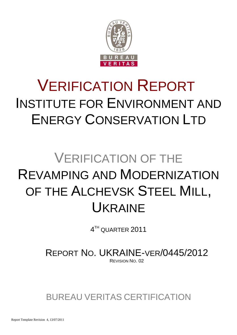

# VERIFICATION REPORT INSTITUTE FOR ENVIRONMENT AND ENERGY CONSERVATION LTD

# VERIFICATION OF THE REVAMPING AND MODERNIZATION OF THE ALCHEVSK STEEL MILL, UKRAINE

 $4^{\scriptscriptstyle\rm TH}$  QUARTER  $2011$ 

REPORT NO. UKRAINE-VER/0445/2012 REVISION NO. 02

BUREAU VERITAS CERTIFICATION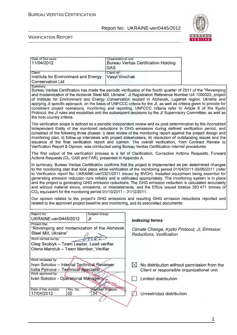

#### VERIFICATION REPORT

| Date of first issue:<br>11/04/2012                                                                                                                                                                                                                                                                                                                                                                                                                                                                                                                                                                                                                                                                                                                                                                                                                                                                                                                                |                        | Organizational unit:<br><b>SAS</b> | <b>Bureau Veritas Certification Holding</b>                              |                                             |  |  |
|-------------------------------------------------------------------------------------------------------------------------------------------------------------------------------------------------------------------------------------------------------------------------------------------------------------------------------------------------------------------------------------------------------------------------------------------------------------------------------------------------------------------------------------------------------------------------------------------------------------------------------------------------------------------------------------------------------------------------------------------------------------------------------------------------------------------------------------------------------------------------------------------------------------------------------------------------------------------|------------------------|------------------------------------|--------------------------------------------------------------------------|---------------------------------------------|--|--|
| Client:<br>Institute for Environment and Energy<br><b>Conservation Ltd</b>                                                                                                                                                                                                                                                                                                                                                                                                                                                                                                                                                                                                                                                                                                                                                                                                                                                                                        |                        | Client ref.:<br>Vasyl Vovchak      |                                                                          |                                             |  |  |
| Summary:<br>Bureau Veritas Certification has made the periodic verification of the fourth quarter of 2011 of the "Revamping<br>and modernization of the Alchevsk Steel Mill, Ukraine", JI Registration Reference Number UA 1000022, project<br>of Institute for Environment and Energy Conservation located in Alchevsk, Lugansk region, Ukraine and<br>applying JI specific approach, on the basis of UNFCCC criteria for the JI, as well as criteria given to provide for<br>consistent project operations, monitoring and reporting. UNFCCC criteria refer to Article 6 of the Kyoto<br>Protocol, the JI rules and modalities and the subsequent decisions by the JI Supervisory Committee, as well as<br>the host country criteria.                                                                                                                                                                                                                           |                        |                                    |                                                                          |                                             |  |  |
| The verification scope is defined as a periodic independent review and ex post determination by the Accredited<br>Independent Entity of the monitored reductions in GHG emissions during defined verification period, and<br>consisted of the following three phases: i) desk review of the monitoring report against the project design and<br>monitoring plan; ii) follow-up interviews with project stakeholders; iii) resolution of outstanding issues and the<br>issuance of the final verification report and opinion. The overall verification, from Contract Review to<br>Verification Report & Opinion, was conducted using Bureau Veritas Certification internal procedures.                                                                                                                                                                                                                                                                            |                        |                                    |                                                                          |                                             |  |  |
| The first output of the verification process is a list of Clarification, Corrective Actions Requests, Forward<br>Actions Requests (CL, CAR and FAR), presented in Appendix A.                                                                                                                                                                                                                                                                                                                                                                                                                                                                                                                                                                                                                                                                                                                                                                                     |                        |                                    |                                                                          |                                             |  |  |
| In summary, Bureau Veritas Certification confirms that the project is implemented as per determined changes<br>to the monitoring plan that took place while verification of the monitoring period 01/04/2011-30/06/2011 (refer<br>to Verification report No. UKRAINE-ver/0321/2011 issued by BVCH). Installed equipment being essential for<br>generating emission reduction runs reliably and is calibrated appropriately. The monitoring system is in place<br>and the project is generating GHG emission reductions. The GHG emission reduction is calculated accurately<br>and without material errors, omissions, or misstatements, and the ERUs issued totalize 283 471 tonnes of<br>$CO2$ equivalent for the monitoring period 01/10/2011 - 31/12/2011.<br>Our opinion relates to the project's GHG emissions and resulting GHG emission reductions reported and<br>related to the approved project baseline and monitoring, and its associated documents. |                        |                                    |                                                                          |                                             |  |  |
| Report No.:                                                                                                                                                                                                                                                                                                                                                                                                                                                                                                                                                                                                                                                                                                                                                                                                                                                                                                                                                       | Subject Group:         |                                    |                                                                          |                                             |  |  |
| UKRAINE-ver/0445/2012                                                                                                                                                                                                                                                                                                                                                                                                                                                                                                                                                                                                                                                                                                                                                                                                                                                                                                                                             | JI                     |                                    | <b>Indexing terms</b>                                                    |                                             |  |  |
| Project title:<br>"Revamping and modernization of the Alchevsk<br>Steel Mill, Ukraine"<br>Work carried out by:                                                                                                                                                                                                                                                                                                                                                                                                                                                                                                                                                                                                                                                                                                                                                                                                                                                    | $\sqrt{ }$             |                                    | Climate Change, Kyoto Protocol, JI, Emission<br>Reductions, Verification |                                             |  |  |
| Oleg Skoblyk - Team Leader, Lead verifier<br>Olena Manziuk - Team Member, Verifier                                                                                                                                                                                                                                                                                                                                                                                                                                                                                                                                                                                                                                                                                                                                                                                                                                                                                |                        |                                    |                                                                          |                                             |  |  |
| Work reviewed by:                                                                                                                                                                                                                                                                                                                                                                                                                                                                                                                                                                                                                                                                                                                                                                                                                                                                                                                                                 |                        |                                    |                                                                          |                                             |  |  |
| Ivan Sokolov - Internal Technical Reviewer<br>Iullia Pylnova - Technical Specialist                                                                                                                                                                                                                                                                                                                                                                                                                                                                                                                                                                                                                                                                                                                                                                                                                                                                               |                        |                                    | $\bowtie$<br>Client or responsible organizational unit                   | No distribution without permission from the |  |  |
| Work approved by:<br>Ivan Sokolov - Operational Managery<br>tificatio)                                                                                                                                                                                                                                                                                                                                                                                                                                                                                                                                                                                                                                                                                                                                                                                                                                                                                            |                        |                                    | Limited distribution                                                     |                                             |  |  |
| Date of this revision:<br>Rev. No.:<br>02<br>17/04/2012                                                                                                                                                                                                                                                                                                                                                                                                                                                                                                                                                                                                                                                                                                                                                                                                                                                                                                           | Number of pages:<br>34 |                                    | Unrestricted distribution                                                |                                             |  |  |
|                                                                                                                                                                                                                                                                                                                                                                                                                                                                                                                                                                                                                                                                                                                                                                                                                                                                                                                                                                   |                        |                                    |                                                                          |                                             |  |  |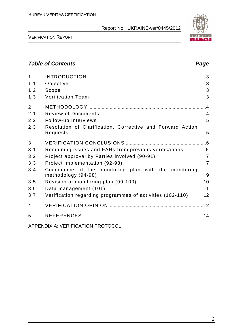

VERIFICATION REPORT

## **Table of Contents Page 2014**

| $\mathbf{1}$   |                                                                              | .3              |
|----------------|------------------------------------------------------------------------------|-----------------|
| 1.1            | Objective                                                                    | 3               |
| 1.2            | Scope                                                                        | 3               |
| 1.3            | <b>Verification Team</b>                                                     | 3               |
| $\overline{2}$ |                                                                              | $\overline{.4}$ |
| 2.1            | <b>Review of Documents</b>                                                   | $\overline{4}$  |
| 2.2            | Follow-up Interviews                                                         | 5               |
| 2.3            | Resolution of Clarification, Corrective and Forward Action<br>Requests       | 5               |
| 3              |                                                                              |                 |
| 3.1            | Remaining issues and FARs from previous verifications                        | 6               |
| 3.2            | Project approval by Parties involved (90-91)                                 | $\overline{7}$  |
| 3.3            | Project implementation (92-93)                                               | $\overline{7}$  |
| 3.4            | Compliance of the monitoring plan with the monitoring<br>methodology (94-98) | 9               |
| 3.5            | Revision of monitoring plan (99-100)                                         | 10              |
| 3.6            | Data management (101)                                                        | 11              |
| 3.7            | Verification regarding programmes of activities (102-110)                    | 12              |
| 4              |                                                                              |                 |
| 5              |                                                                              |                 |

APPENDIX A: VERIFICATION PROTOCOL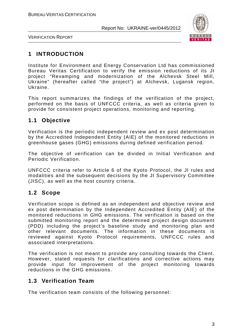

VERIFICATION REPORT

# **1 INTRODUCTION**

Institute for Environment and Energy Conservation Ltd has commissioned Bureau Veritas Certification to verify the emission reductions of its JI project "Revamping and modernization of the Alchevsk Steel Mill, Ukraine" (hereafter called "the project") at Alchevsk, Lugansk region, Ukraine.

This report summarizes the findings of the verification of the project, performed on the basis of UNFCCC criteria, as well as criteria given to provide for consistent project operations, monitoring and reporting.

# **1.1 Objective**

Verification is the periodic independent review and ex post determination by the Accredited Independent Entity (AIE) of the monitored reductions in greenhouse gases (GHG) emissions during defined verification period.

The objective of verification can be divided in Initial Verification and Periodic Verification.

UNFCCC criteria refer to Article 6 of the Kyoto Protocol, the JI rules and modalities and the subsequent decisions by the JI Supervisory Committee (JISC), as well as the host country criteria.

# **1.2 Scope**

Verification scope is defined as an independent and objective review and ex post determination by the Independent Accredited Entity (AIE) of the monitored reductions in GHG emissions. The verification is based on the submitted monitoring report and the determined project design document (PDD) including the project's baseline study and monitoring plan and other relevant documents. The information in these documents is reviewed against Kyoto Protocol requirements, UNFCCC rules and associated interpretations.

The verification is not meant to provide any consulting towards the Client. However, stated requests for clarifications and corrective actions may provide input for improvement of the project monitoring towards reductions in the GHG emissions.

#### **1.3 Verification Team**

The verification team consists of the following personnel: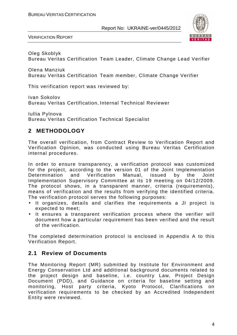

VERIFICATION REPORT

Oleg Skoblyk Bureau Veritas Certification Team Leader, Climate Change Lead Verifier

Olena Manziuk Bureau Veritas Certification Team member, Climate Change Verifier

This verification report was reviewed by:

Ivan Sokolov Bureau Veritas Certification, Internal Technical Reviewer

Iullia Pylnova Bureau Veritas Certification Technical Specialist

# **2 METHODOLOGY**

The overall verification, from Contract Review to Verification Report and Verification Opinion, was conducted using Bureau Veritas Certification internal procedures.

In order to ensure transparency, a verification protocol was customized for the project, according to the version 01 of the Joint Implementation Determination and Verification Manual, issued by the Joint Implementation Supervisory Committee at its 19 meeting on 04/12/2009. The protocol shows, in a transparent manner, criteria (requirements), means of verification and the results from verifying the identified criteria. The verification protocol serves the following purposes:

- It organizes, details and clarifies the requirements a JI project is expected to meet;
- It ensures a transparent verification process where the verifier will document how a particular requirement has been verified and the result of the verification.

The completed determination protocol is enclosed in Appendix A to this Verification Report.

#### **2.1 Review of Documents**

The Monitoring Report (MR) submitted by Institute for Environment and Energy Conservation Ltd and additional background documents related to the project design and baseline, i.e. country Law, Project Design Document (PDD), and Guidance on criteria for baseline setting and monitoring, Host party criteria, Kyoto Protocol, Clarifications on verification requirements to be checked by an Accredited Independent Entity were reviewed.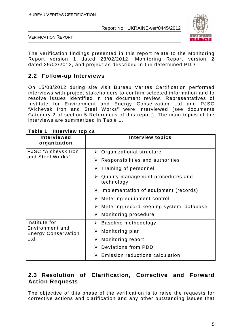

VERIFICATION REPORT

The verification findings presented in this report relate to the Monitoring Report version 1 dated 23/02/2012, Monitoring Report version 2 dated 29/03/2012, and project as described in the determined PDD.

# **2.2 Follow-up Interviews**

On 15/03/2012 during site visit Bureau Veritas Certification performed interviews with project stakeholders to confirm selected information and to resolve issues identified in the document review. Representatives of Institute for Environment and Energy Conservation Ltd and PJSC "Alchevsk Iron and Steel Works" were interviewed (see documents Category 2 of section 5 References of this report). The main topics of the interviews are summarized in Table 1.

| <b>Interviewed</b><br>organization            | <b>Interview topics</b>                                          |
|-----------------------------------------------|------------------------------------------------------------------|
| PJSC "Alchevsk Iron                           | $\triangleright$ Organizational structure                        |
| and Steel Works"                              | $\triangleright$ Responsibilities and authorities                |
|                                               | $\triangleright$ Training of personnel                           |
|                                               | $\triangleright$ Quality management procedures and<br>technology |
|                                               | $\triangleright$ Implementation of equipment (records)           |
|                                               | $\triangleright$ Metering equipment control                      |
|                                               | $\triangleright$ Metering record keeping system, database        |
|                                               | $\triangleright$ Monitoring procedure                            |
| Institute for                                 | $\triangleright$ Baseline methodology                            |
| Environment and<br><b>Energy Conservation</b> | $\triangleright$ Monitoring plan                                 |
| Ltd.                                          | $\triangleright$ Monitoring report                               |
|                                               | > Deviations from PDD                                            |
|                                               | <b>Emission reductions calculation</b><br>➤                      |

#### **Table 1 Interview topics**

### **2.3 Resolution of Clarification, Corrective and Forward Action Requests**

The objective of this phase of the verification is to raise the requests for corrective actions and clarification and any other outstanding issues that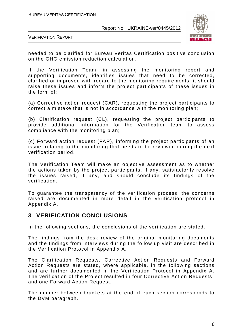

VERIFICATION REPORT

needed to be clarified for Bureau Veritas Certification positive conclusion on the GHG emission reduction calculation.

If the Verification Team, in assessing the monitoring report and supporting documents, identifies issues that need to be corrected, clarified or improved with regard to the monitoring requirements, it should raise these issues and inform the project participants of these issues in the form of:

(a) Corrective action request (CAR), requesting the project participants to correct a mistake that is not in accordance with the monitoring plan;

(b) Clarification request (CL), requesting the project participants to provide additional information for the Verification team to assess compliance with the monitoring plan;

(c) Forward action request (FAR), informing the project participants of an issue, relating to the monitoring that needs to be reviewed during the next verification period.

The Verification Team will make an objective assessment as to whether the actions taken by the project participants, if any, satisfactorily resolve the issues raised, if any, and should conclude its findings of the verification.

To guarantee the transparency of the verification process, the concerns raised are documented in more detail in the verification protocol in Appendix A.

#### **3 VERIFICATION CONCLUSIONS**

In the following sections, the conclusions of the verification are stated.

The findings from the desk review of the original monitoring documents and the findings from interviews during the follow up visit are described in the Verification Protocol in Appendix A.

The Clarification Requests, Corrective Action Requests and Forward Action Requests are stated, where applicable, in the following sections and are further documented in the Verification Protocol in Appendix A. The verification of the Project resulted in four Corrective Action Requests and one Forward Action Request.

The number between brackets at the end of each section corresponds to the DVM paragraph.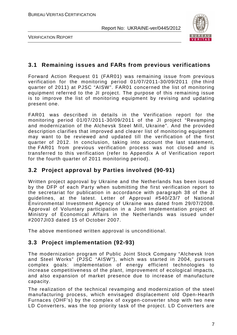

VERIFICATION REPORT

#### **3.1 Remaining issues and FARs from previous verifications**

Forward Action Request 01 (FAR01) was remaining issue from previous verification for the monitoring period 01/07/2011-30/09/2011 (the third quarter of 2011) at PJSC "AISW". FAR01 concerned the list of monitoring equipment referred to the JI project. The purpose of this remaining issue is to improve the list of monitoring equipment by revising and updating present one.

FAR01 was described in details in the Verification report for the monitoring period 01/07/2011-30/09/2011 of the JI project "Revamping and modernization of the Alchevsk Steel Mill, Ukraine". And the provided description clarifies that improved and clearer list of monitoring equipment may want to be reviewed and updated till the verification of the first quarter of 2012. In conclusion, taking into account the last statement, the FAR01 from previous verification process was not closed and is transferred to this verification (refer to Appendix A of Verification report for the fourth quarter of 2011 monitoring period).

#### **3.2 Project approval by Parties involved (90-91)**

Written project approval by Ukraine and the Netherlands has been issued by the DFP of each Party when submitting the first verification report to the secretariat for publication in accordance with paragraph 38 of the JI guidelines, at the latest. Letter of Approval #540/23/7 of National Environmental Investment Agency of Ukraine was dated from 29/07/2008. Approval of Voluntary participation in a Joint Implementation project of Ministry of Economical Affairs in the Netherlands was issued under #2007JI03 dated 15 of October 2007.

The above mentioned written approval is unconditional.

#### **3.3 Project implementation (92-93)**

The modernization program of Public Joint Stock Company "Alchevsk Iron and Steel Works" (PJSC "AISW"), which was started in 2004, pursues complex goals: implementation of energy efficient technologies to increase competitiveness of the plant, improvement of ecological impacts, and also expansion of market presence due to increase of manufacture capacity.

The realization of the technical revamping and modernization of the steel manufacturing process, which envisaged displacement old Open-Hearth Furnaces (OHF's) by the complex of oxygen-converter shop with two new LD Converters, was the top priority task of the project. LD Converters are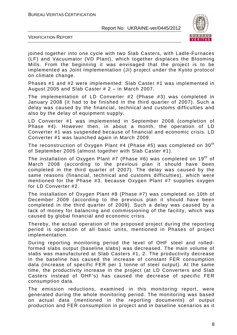

VERIFICATION REPORT

joined together into one cycle with two Slab Casters, with Ladle-Furnaces (LF) and Vacuumator (VD Plant), which together displaces the Blooming Mills. From the beginning it was envisaged that the project is to be implemented as Joint Implementation (JI) project under the Kyoto protocol on climate change.

Phases #1 and #2 were implemented: Slab Caster #1 was implemented in August 2005 and Slab Caster # 2 – in March 2007.

The implementation of LD Converter #2 (Phase #3) was completed in January 2008 (it had to be finished in the third quarter of 2007). Such a delay was caused by the financial, technical and customs difficulties and also by the delay of equipment supply.

LD Converter #1 was implemented in September 2008 (completion of Phase #4). However then, in about a month, the operation of LD Converter #1 was suspended because of financial and economic crisis. LD Converter #1 was launched again in March 2009.

The reconstruction of Oxygen Plant #4 (Phase #5) was completed on  $30<sup>th</sup>$ of September 2005 (almost together with Slab Caster #1).

The installation of Oxygen Plant #7 (Phase #6) was completed on 19<sup>th</sup> of March 2008 (according to the previous plan it should have been completed in the third quarter of 2007). The delay was caused by the same reasons (financial, technical and customs difficulties), which were mentioned for the Phase #3, because Oxygen Plant #7 supplies oxygen for LD Converter #2.

The installation of Oxygen Plant #8 (Phase #7) was completed on 10th of December 2009 (according to the previous plan it should have been completed in the third quarter of 2009). Such a delay was caused by a lack of money for balancing and commissioning of the facility, which was caused by global financial and economic crisis.

Thereby, the actual operation of the proposed project during the reporting period is operation of all basic units, mentioned in Phases of project implementation.

During reporting monitoring period the level of OHF steel and rolledformed slabs output (baseline slabs) was decreased. The main volume of slabs was manufactured at Slab Casters #1, 2. The productivity decrease in the baseline has caused the increase of constant FER consumption data (increase of specific FER per 1 tonne of steel output). At the same time, the productivity increase in the project (at LD Converters and Slab Casters instead of OHF's) has caused the decrease of specific FER consumption data.

The emission reductions, examined in this monitoring report, were generated during the whole monitoring period. The monitoring was based on actual data (mentioned in the reporting documents) of output production and FER consumption in project and in baseline scenarios as it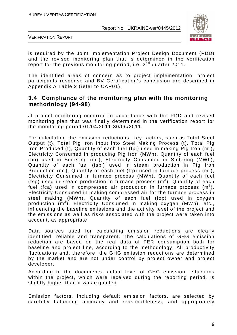

VERIFICATION REPORT

is required by the Joint Implementation Project Design Document (PDD) and the revised monitoring plan that is determined in the verification report for the previous monitoring period, i.e.  $2^{nd}$  quarter 2011.

The identified areas of concern as to project implementation, project participants response and BV Certification's conclusion are described in Appendix A Table 2 (refer to CAR01).

#### **3.4 Compliance of the monitoring plan with the monitoring methodology (94-98)**

JI project monitoring occurred in accordance with the PDD and revised monitoring plan that was finally determined in the verification report for the monitoring period 01/04/2011-30/06/2011.

For calculating the emission reductions, key factors, such as Total Steel Output (t), Total Pig Iron Input into Steel Making Process (t), Total Pig Iron Produced (t), Quantity of each fuel (fpi) used in making Pig Iron  $(m^3)$ , Electricity Consumed in producing Pig Iron (MWh), Quantity of each fuel (fio) used in Sintering  $(m^3)$ , Electricity Consumed in Sintering (MWh), Quantity of each fuel (fspi) used in steam production in Pig Iron Production (m<sup>3</sup>), Quantity of each fuel (ffp) used in furnace process (m<sup>3</sup>), Electricity Consumed in furnace process (MWh), Quantity of each fuel (fsp) used in steam production in furnace process  $(m^3)$ , Quantity of each fuel (fca) used in compressed air production in furnace process  $(m^3)$ , Electricity Consumed in making compressed air for the furnace process in steel making (MWh), Quantity of each fuel (fop) used in oxygen production (m<sup>3</sup>), Electricity Consumed in making oxygen (MWh), etc., influencing the baseline emissions and the activity level of the project and the emissions as well as risks associated with the project were taken into account, as appropriate.

Data sources used for calculating emission reductions are clearly identified, reliable and transparent. The calculations of GHG emission reduction are based on the real data of FER consumption both for baseline and project line, according to the methodology. All productivity fluctuations and, therefore, the GHG emission reductions are determined by the market and are not under control by project owner and project developer**.** 

According to the documents, actual level of GHG emission reductions within the project, which were received during the reporting period, is slightly higher than it was expected.

Emission factors, including default emission factors, are selected by carefully balancing accuracy and reasonableness, and appropriately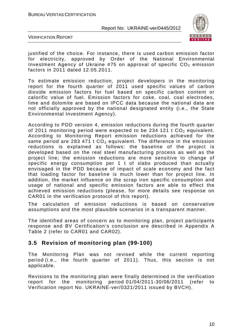

VERIFICATION REPORT

justified of the choice. For instance, there is used carbon emission factor for electricity, approved by Order of the National Environmental Investment Agency of Ukraine #75 on approval of specific  $CO<sub>2</sub>$  emission factors in 2011 dated 12.05.2011.

To estimate emission reduction, project developers in the monitoring report for the fourth quarter of 2011 used specific values of carbon dioxide emission factors for fuel based on specific carbon content or calorific value of fuel. Emission factors for coke, coal, coal electrodes, lime and dolomite are based on IPCC data because the national data are not officially approved by the national designated entity (i.e., the State Environmental Investment Agency).

According to PDD version 4, emission reductions during the fourth quarter of 2011 monitoring period were expected to be 234 121 t  $CO<sub>2</sub>$  equivalent. According to Monitoring Report emission reductions achieved for the same period are 283 471 t  $CO<sub>2</sub>$  equivalent. The difference in the emission reductions is explained as follows: the baseline of the project is developed based on the real steel manufacturing process as well as the project line; the emission reductions are more sensitive to change of specific energy consumption per 1 t of slabs produced than actually envisaged in the PDD because of impact of scale economy and the fact that loading factor for baseline is much lower than for project line. In addition, the market influence on the scrap iron specific consumption and usage of national and specific emission factors are able to effect the achieved emission reductions (please, for more details see response on CAR01 in the verification protocol of this report).

The calculation of emission reductions is based on conservative assumptions and the most plausible scenarios in a transparent manner.

The identified areas of concern as to monitoring plan, project participants response and BV Certification's conclusion are described in Appendix A Table 2 (refer to CAR01 and CAR02).

#### **3.5 Revision of monitoring plan (99-100)**

The Monitoring Plan was not revised while the current reporting period (i.e., the fourth quarter of 2011). Thus, this section is not applicable.

Revisions to the monitoring plan were finally determined in the verification report for the monitoring period 01/04/2011-30/06/2011 (refer to Verification report No. UKRAINE-ver/0321/2011 issued by BVCH).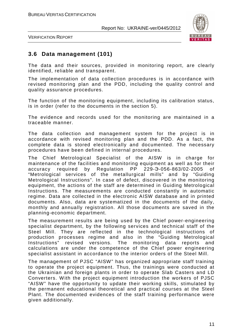

VERIFICATION REPORT

#### **3.6 Data management (101)**

The data and their sources, provided in monitoring report, are clearly identified, reliable and transparent.

The implementation of data collection procedures is in accordance with revised monitoring plan and the PDD, including the quality control and quality assurance procedures.

The function of the monitoring equipment, including its calibration status, is in order (refer to the documents in the section 5).

The evidence and records used for the monitoring are maintained in a traceable manner.

The data collection and management system for the project is in accordance with revised monitoring plan and the PDD. As a fact, the complete data is stored electronically and documented. The necessary procedures have been defined in internal procedures.

The Chief Metrological Specialist of the AISW is in charge for maintenance of the facilities and monitoring equipment as well as for their accuracy required by Regulation PP 229-Э-056-863/02-2005 of "Metrological services of the metallurgical mills" and by "Guiding Metrological Instructions". In case of defect, discovered in the monitoring equipment, the actions of the staff are determined in Guiding Metrological Instructions. The measurements are conducted constantly in automatic regime. Data are collected in the electronic AISW database and in printed documents. Also, data are systematized in the documents of the daily, monthly and annually registration. All those documents are saved in the planning-economic department.

The measurement results are being used by the Chief power-engineering specialist department, by the following services and technical staff of the Steel Mill. They are reflected in the technological instructions of production processes regime and also in the "Guiding Metrological Instructions" revised versions. The monitoring data reports and calculations are under the competence of the Chief power engineering specialist assistant in accordance to the interior orders of the Steel Mill.

The management of PJSC "AISW" has organized appropriate staff training to operate the project equipment. Thus, the trainings were conducted at the Ukrainian and foreign plants in order to operate Slab Casters and LD Converters. With the project equipment introduction the workers of PJSC "AISW" have the opportunity to update their working skills, stimulated by the permanent educational theoretical and practical courses at the Steel Plant. The documented evidences of the staff training performance were given additionally.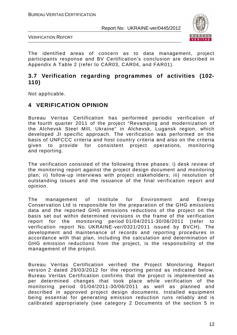

VERIFICATION REPORT

The identified areas of concern as to data management, project participants response and BV Certification's conclusion are described in Appendix A Table 2 (refer to CAR03, CAR04, and FAR01).

#### **3.7 Verification regarding programmes of activities (102- 110)**

Not applicable.

#### **4 VERIFICATION OPINION**

Bureau Veritas Certification has performed periodic verification of the fourth quarter 2011 of the project "Revamping and modernization of the Alchevsk Steel Mill, Ukraine" in Alchevsk, Lugansk region, which developed JI specific approach. The verification was performed on the basis of UNFCCC criteria and host country criteria and also on the criteria given to provide for consistent project operations, monitoring and reporting.

The verification consisted of the following three phases: i) desk review of the monitoring report against the project design document and monitoring plan; ii) follow-up interviews with project stakeholders; iii) resolution of outstanding issues and the issuance of the final verification report and opinion.

The management of Institute for Environment and Energy Conservation Ltd is responsible for the preparation of the GHG emissions data and the reported GHG emissions reductions of the project on the basis set out within determined revisions in the frame of the verification report for the monitoring period 01/04/2011-30/06/2011 (refer to verification report No. UKRAINE-ver/0321/2011 issued by BVCH). The development and maintenance of records and reporting procedures in accordance with that plan, including the calculation and determination of GHG emission reductions from the project, is the responsibility of the management of the project.

Bureau Veritas Certification verified the Project Monitoring Report version 2 dated 29/03/2012 for the reporting period as indicated below. Bureau Veritas Certification confirms that the project is implemented as per determined changes that took place while verification of the monitoring period 01/04/2011-30/06/2011 as well as planned and described in approved project design documents. Installed equipment being essential for generating emission reduction runs reliably and is calibrated appropriately (see category 2 Documents of the section 5 in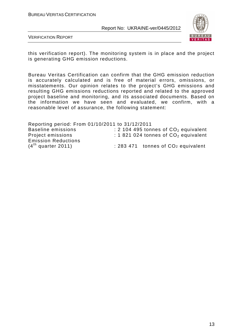

VERIFICATION REPORT

this verification report). The monitoring system is in place and the project is generating GHG emission reductions.

Bureau Veritas Certification can confirm that the GHG emission reduction is accurately calculated and is free of material errors, omissions, or misstatements. Our opinion relates to the project's GHG emissions and resulting GHG emissions reductions reported and related to the approved project baseline and monitoring, and its associated documents. Based on the information we have seen and evaluated, we confirm, with a reasonable level of assurance, the following statement:

| Reporting period: From 01/10/2011 to 31/12/2011 |  |  |  |  |                                                |  |
|-------------------------------------------------|--|--|--|--|------------------------------------------------|--|
| <b>Baseline emissions</b>                       |  |  |  |  | : 2 104 495 tonnes of $CO2$ equivalent         |  |
| Project emissions                               |  |  |  |  | : 1 821 024 tonnes of $CO2$ equivalent         |  |
| <b>Emission Reductions</b>                      |  |  |  |  |                                                |  |
| $(4th$ quarter 2011)                            |  |  |  |  | : 283 471 tonnes of CO <sub>2</sub> equivalent |  |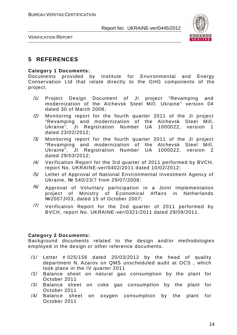

VERIFICATION REPORT

### **5 REFERENCES**

#### **Category 1 Documents:**

Documents provided by Institute for Environmental and Energy Conservation Ltd that relate directly to the GHG components of the project.

- /1/ Project Design Document of JI project "Revamping and modernization of the Alchevsk Steel Mill, Ukraine" version 04 dated 30 of March 2008;
- /2/ Monitoring report for the fourth quarter 2011 of the JI project "Revamping and modernization of the Alchevsk Steel Mill, Ukraine", JI Registration Number UA 1000022, version 1 dated 23/02/2012;
- /3/ Monitoring report for the fourth quarter 2011 of the JI project "Revamping and modernization of the Alchevsk Steel Mill, Ukraine", JI Registration Number UA 1000022, version 2 dated 29/03/2012;
- /4/ Verification Report for the 3rd quarter of 2011 performed by BVCH, report No. UKRAINE-ver/0402/2011 dated 10/02/2012;
- /5/ Letter of Approval of National Environmental Investment Agency of Ukraine, № 540/23/7 from 29/07/2008;
- $/6/$  Approval of Voluntary participation in a Joint Implementation project of Ministry of Economical Affairs in Netherlands №2007JI03, dated 15 of October 2007;
- $\frac{7}{10}$  Verification Report for the 2nd quarter of 2011 performed by BVCH, report No. UKRAINE-ver/0321/2011 dated 29/09/2011.

#### **Category 2 Documents:**

Background documents related to the design and/or methodologies employed in the design or other reference documents.

- /1/ Letter # 025/156 dated 20/03/2012 by the head of quality department N. Azarov on QMS unscheduled audit at OCS , which took place in the IV quarter 2011
- /2/ Balance sheet on natural gas consumption by the plant for October 2011
- /3/ Balance sheet on coke gas consumption by the plant for October 2011
- /4/ Balance sheet on oxygen consumption by the plant for October 2011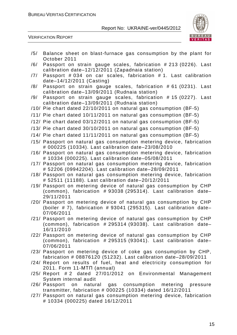

VERIFICATION REPORT

- /5/ Balance sheet on blast-furnace gas consumption by the plant for October 2011
- /6/ Passport on strain gauge scales, fabrication # 213 (0226). Last calibration date–12/12/2011 (Zapadnaia station)
- /7/ Passport # 034 on car scales, fabrication # 1. Last calibration date–14/12/2011 (Casting)
- /8/ Passport on strain gauge scales, fabrication # 61 (0231). Last calibration date–13/09/2011 (Rudnaia station)
- /9/ Passport on strain gauge scales, fabrication # 15 (0227). Last calibration date–13/09/2011 (Rudnaia station)
- /10/ Pie chart dated 22/10/2011 on natural gas consumption (BF-5)
- /11/ Pie chart dated 10/11/2011 on natural gas consumption (BF-5)
- /12/ Pie chart dated 03/12/2011 on natural gas consumption (BF-5)
- /13/ Pie chart dated 30/10/2011 on natural gas consumption (BF-5)
- /14/ Pie chart dated 11/11/2011 on natural gas consumption (BF-5)
- /15/ Passport on natural gas consumption metering device, fabrication # 000225 (10334). Last calibration date–23/08/2010
- /16/ Passport on natural gas consumption metering device, fabrication # 10334 (000225). Last calibration date–05/08/2011
- /17/ Passport on natural gas consumption metering device, fabrication # 52206 (09942204). Last calibration date–28/09/2011
- /18/ Passport on natural gas consumption metering device, fabrication # 52511 (11188). Last calibration date–20/12/2011
- /19/ Passport on metering device of natural gas consumption by CHP (common), fabrication # 93038 (295314). Last calibration date– 29/11/2011
- /20/ Passport on metering device of natural gas consumption by CHP (boiler  $# 7$ ), fabrication  $# 93041$  (295315). Last calibration date-07/06/2011
- /21/ Passport on metering device of natural gas consumption by CHP (common), fabrication # 295314 (93038). Last calibration date– 16/11/2010
- /22/ Passport on metering device of natural gas consumption by CHP (common), fabrication # 295315 (93041). Last calibration date– 07/06/2011
- /23/ Passport on metering device of coke gas consumption by CHP, fabrication # 08876120 (51232). Last calibration date–28/09/2011
- /24/ Report on results of fuel, heat and electricity consumption for 2011. Form 11-МТП (annual)
- /25/ Report # 2 dated 27/01/2012 on Environmental Management System internal audit
- /26/ Passport on natural gas consumption metering pressure transmitter, fabrication # 000225 (10334) dated 16/12/2011
- /27/ Passport on natural gas consumption metering device, fabrication # 10334 (000225) dated 16/12/2011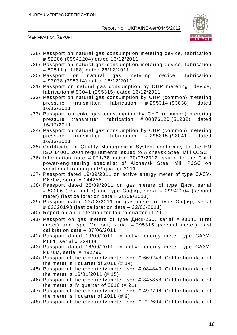

VERIFICATION REPORT

- /28/ Passport on natural gas consumption metering device, fabrication # 52206 (09942204) dated 16/12/2011
- /29/ Passport on natural gas consumption metering device, fabrication # 52511 (11188) dated 26/12/2011
- /30/ Passport on natural gas metering device, fabrication # 93038 (295314) dated 16/12/2011
- /31/ Passport on natural gas consumption by CHP metering device, fabrication # 93041 (295315) dated 16/12/2011
- /32/ Passport on natural gas consumption by CHP (common) metering pressure transmitter, fabrication # 295314 (93038) dated 16/12/2011
- /33/ Passport on coke gas consumption by CHP (common) metering pressure transmitter, fabrication # 08876120 (51232) dated 16/12/2011
- /34/ Passport on natural gas consumption by CHP (common) metering pressure transmitter, fabrication # 295315 (93041) dated 16/12/2011
- /35/ Certificate on Quality Management System conformity to the EN ISO 14001:2004 requirements issued to Alchevsk Steel Mill OJSC
- /36/ Information note # 021/78 dated 20/03/2012 issued to the Chief power-engineering specialist of Alchevsk Steel Mill PJSC on vocational training in IV quarter 2011
- /37/ Passport dated 19/09/2011 on active energy meter of type САЗУ-И670м, serial # 144256
- /38/ Passport dated 28/09/2011 on gas meters of type Диск, serial # 52206 (first meter) and type Сафир, serial # 09942204 (second meter) (last calibration date – 28/09/2011)
- /39/ Passport dated 22/03/2011 on gas meter of type Сафир, serial # 02320193 (last calibration date – 22/03/2011)
- /40/ Report on air protection for fourth quarter of 2011
- /41/ Passport on gas meters of type Диск-250, serial # 93041 (first meter) and type Метран, serial # 295315 (second meter), last calibration date – 07/06/2011
- /42/ Passport dated 19/09/2011 on active energy meter type САЗУ-И681, serial # 224606
- /43/ Passport dated 16/09/2011 on active energy meter type САЗУ-И670м, serial # 492796
- /44/ Passport of the electricity meter, ser. # 669248. Calibration date of the meter is I quarter of 2011 (# 14)
- /45/ Passport of the electricity meter, ser. # 084840. Calibration date of the meter is 16/01/2011 (# 15)
- /46/ Passport of the electricity meter, ser. # 845858. Calibration date of the meter is IV quarter of 2010 (# 21)
- /47/ Passport of the electricity meter, ser. # 492796. Calibration date of the meter is I quarter of 2011  $(\# 9)$
- /48/ Passport of the electricity meter, ser. # 222604. Calibration date of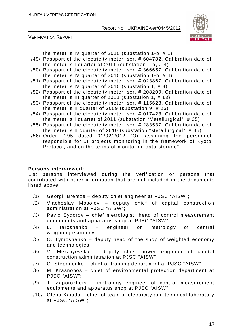

VERIFICATION REPORT

the meter is IV quarter of 2010 (substation 1-b, # 1)

- /49/ Passport of the electricity meter, ser. # 604782. Calibration date of the meter is I quarter of 2011 (substation 1-a,  $# 4$ )
- /50/ Passport of the electricity meter, ser. # 366657. Calibration date of the meter is IV quarter of 2010 (substation 1-b, # 4)
- /51/ Passport of the electricity meter, ser. # 023867. Calibration date of the meter is IV quarter of 2010 (substation 1, # 8)
- /52/ Passport of the electricity meter, ser. # 208209. Calibration date of the meter is III quarter of 2011 (substation 1, # 13)
- /53/ Passport of the electricity meter, ser. # 115623. Calibration date of the meter is II quarter of 2009 (substation 9, # 25)
- /54/ Passport of the electricity meter, ser. # 017423. Calibration date of the meter is I quarter of 2011 (substation "Metallurgical", # 25)
- /55/ Passport of the electricity meter, ser. # 283537. Calibration date of the meter is II quarter of 2010 (substation "Metallurgical", # 35)
- /56/ Order # 95 dated 01/02/2012 "On assigning the personnel responsible for JI projects monitoring in the framework of Kyoto Protocol, and on the terms of monitoring data storage"

#### **Persons interviewed:**

List persons interviewed during the verification or persons that contributed with other information that are not included in the documents listed above.

- /1/ Georgii Bremze deputy chief engineer at PJSC "AISW";
- /2/ Viacheslav Mosolov deputy chief of capital construction administration at PJSC "AISW";
- /3/ Pavlo Sydorov chief metrologist, head of control measurement equipments and apparatus shop at PJSC "AISW";
- /4/ L. Iaroshenko engineer on metrology of central weighting economy;
- /5/ O. Tymoshenko deputy head of the shop of weighted economy and technologies;
- /6/ V. Merzhyevska deputy chief power engineer of capital construction administration at PJSC "AISW";
- /7/ O. Stepanenko chief of training department at PJSC "AISW";
- /8/ M. Krasnonos chief of environmental protection department at PJSC "AISW";
- /9/ T. Zaporozhets metrology engineer of control measurement equipments and apparatus shop at PJSC "AISW";
- /10/ Olena Kaiuda chief of team of electricity and technical laboratory at PJSC "AISW";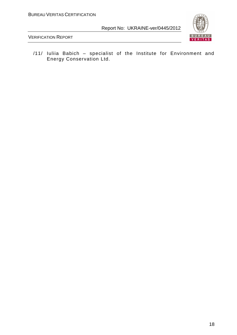

VERIFICATION REPORT

/11/ Iuliia Babich – specialist of the Institute for Environment and Energy Conservation Ltd.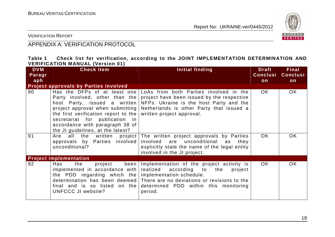

VERIFICATION REPORT

# APPENDIX A: VERIFICATION PROTOCOL

| Table 1 |                                         |  |  | Check list for verification, according to the JOINT IMPLEMENTATION DETERMINATION AND |  |
|---------|-----------------------------------------|--|--|--------------------------------------------------------------------------------------|--|
|         | <b>VERIFICATION MANUAL (Version 01)</b> |  |  |                                                                                      |  |

| <b>DVM</b>    | <b>Check Item</b>                                                                                                                                                                                                      | Initial finding                                                                                                                                                                                                                                                      | <b>Draft</b><br><b>Conclusi</b> | Final<br><b>Conclusi</b> |
|---------------|------------------------------------------------------------------------------------------------------------------------------------------------------------------------------------------------------------------------|----------------------------------------------------------------------------------------------------------------------------------------------------------------------------------------------------------------------------------------------------------------------|---------------------------------|--------------------------|
| Paragr<br>aph |                                                                                                                                                                                                                        |                                                                                                                                                                                                                                                                      | on                              | $\mathsf{on}$            |
|               | <b>Project approvals by Parties involved</b>                                                                                                                                                                           |                                                                                                                                                                                                                                                                      |                                 |                          |
| 90            | host Party, issued a written<br>project approval when submitting<br>the first verification report to the $ $<br>secretariat for publication in<br>accordance with paragraph 38 of<br>the JI guidelines, at the latest? | Has the DFPs of at least one LoAs from both Parties involved in the<br>Party involved, other than the project have been issued by the respective<br>NFPs. Ukraine is the host Party and the<br>Netherlands is other Party that issued a<br>written project approval. | OK.                             | OK.                      |
| 91            | all<br>Are<br>the<br>approvals by Parties involved<br>unconditional?                                                                                                                                                   | written project The written project approvals by Parties<br>involved are unconditional<br>as<br>they<br>explicitly state the name of the legal entity<br>involved in the JI project.                                                                                 | OK.                             | <b>OK</b>                |
|               | <b>Project implementation</b>                                                                                                                                                                                          |                                                                                                                                                                                                                                                                      |                                 |                          |
| 92            | Has<br>the<br>been<br>project<br>implemented in accordance with<br>the PDD regarding which the implementation schedule.<br>final and is so listed on the<br>UNFCCC JI website?                                         | Implementation of the project activity is<br>realized according to<br>project<br>the<br>determination has been deemed   There are no deviations or revisions to the<br>determined PDD within this monitoring<br>period.                                              | OK.                             | <b>OK</b>                |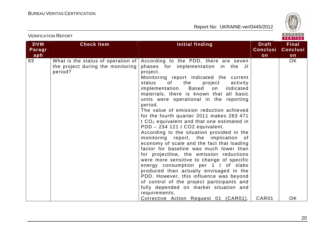VERIFICATION REPORT



| <b>DVM</b> | <b>Check Item</b>                      | Initial finding                                        | <b>Draft</b>    | <b>Final</b>    |
|------------|----------------------------------------|--------------------------------------------------------|-----------------|-----------------|
|            |                                        |                                                        | <b>Conclusi</b> | <b>Conclusi</b> |
| Paragr     |                                        |                                                        |                 |                 |
| aph        |                                        |                                                        | on              | on              |
| 93         | What is the status of operation of $ $ | According to the PDD, there are seven                  |                 | OK.             |
|            | the project during the monitoring      | phases for implementation in the JI                    |                 |                 |
|            | period?                                | project.                                               |                 |                 |
|            |                                        | Monitoring report indicated the current                |                 |                 |
|            |                                        | status<br>of<br>the<br>project<br>activity             |                 |                 |
|            |                                        | implementation. Based<br>indicated<br>on               |                 |                 |
|            |                                        | materials, there is known that all basic               |                 |                 |
|            |                                        | units were operational in the reporting                |                 |                 |
|            |                                        | period.                                                |                 |                 |
|            |                                        | The value of emission reduction achieved               |                 |                 |
|            |                                        | for the fourth quarter 2011 makes 283 471              |                 |                 |
|            |                                        | t CO <sub>2</sub> equivalent and that one estimated in |                 |                 |
|            |                                        | PDD - 234 121 t CO2 equivalent.                        |                 |                 |
|            |                                        | According to the situation provided in the             |                 |                 |
|            |                                        | monitoring report, the implication of                  |                 |                 |
|            |                                        | economy of scale and the fact that loading             |                 |                 |
|            |                                        | factor for baseline was much lower than                |                 |                 |
|            |                                        | for projectline, the emission reductions               |                 |                 |
|            |                                        | were more sensitive to change of specific              |                 |                 |
|            |                                        | energy consumption per 1 t of slabs                    |                 |                 |
|            |                                        | produced than actually envisaged in the                |                 |                 |
|            |                                        | PDD. However, this influence was beyond                |                 |                 |
|            |                                        | of control of the project participants and             |                 |                 |
|            |                                        | fully depended on market situation and                 |                 |                 |
|            |                                        | requirements.                                          |                 |                 |
|            |                                        | Corrective Action Request 01 (CAR01).                  | CAR01           | <b>OK</b>       |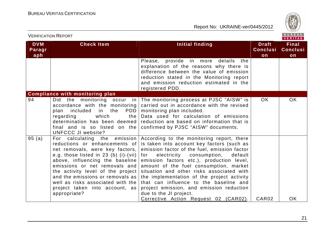

| <b>VERIFICATION REPORT</b>  |                                                                                                                                                                                                                                                                                                                                                                                   |                                                                                                                                                                                                                                                                                                                                                                                                                                                                                            |                                       |                                       |  |
|-----------------------------|-----------------------------------------------------------------------------------------------------------------------------------------------------------------------------------------------------------------------------------------------------------------------------------------------------------------------------------------------------------------------------------|--------------------------------------------------------------------------------------------------------------------------------------------------------------------------------------------------------------------------------------------------------------------------------------------------------------------------------------------------------------------------------------------------------------------------------------------------------------------------------------------|---------------------------------------|---------------------------------------|--|
| <b>DVM</b><br>Paragr<br>aph | <b>Check Item</b>                                                                                                                                                                                                                                                                                                                                                                 | <b>Initial finding</b>                                                                                                                                                                                                                                                                                                                                                                                                                                                                     | <b>Draft</b><br><b>Conclusi</b><br>on | <b>Final</b><br><b>Conclusi</b><br>on |  |
|                             |                                                                                                                                                                                                                                                                                                                                                                                   | Please, provide in more details<br>the<br>explanation of the reasons why there is<br>difference between the value of emission<br>reduction stated in the Monitoring report<br>and emission reduction estimated in the<br>registered PDD.                                                                                                                                                                                                                                                   |                                       |                                       |  |
|                             | <b>Compliance with monitoring plan</b>                                                                                                                                                                                                                                                                                                                                            |                                                                                                                                                                                                                                                                                                                                                                                                                                                                                            |                                       |                                       |  |
| 94                          | Did the monitoring occur in<br>accordance with the monitoring<br>PDD  <br>plan<br>included<br>in<br>the<br>which<br>regarding<br>the  <br>determination has been deemed<br>final and is so listed on the<br><b>UNFCCC JI website?</b>                                                                                                                                             | The monitoring process at PJSC "AISW" is<br>carried out in accordance with the revised<br>monitoring plan included.<br>Data used for calculation of emissions<br>reduction are based on information that is<br>confirmed by PJSC "AISW" documents.                                                                                                                                                                                                                                         | OK.                                   | <b>OK</b>                             |  |
| 95(a)                       | For calculating the emission<br>reductions or enhancements of<br>net removals, were key factors,<br>e.g. those listed in 23 (b) (i)-(vii) $ $<br>above, influencing the baseline<br>emissions or net removals and<br>the activity level of the project<br>and the emissions or removals as<br>well as risks associated with the<br>project taken into account, as<br>appropriate? | According to the monitoring report, there<br>is taken into account key factors (such as<br>emission factor of the fuel, emission factor<br>electricity<br>consumption,<br>for<br>default<br>emission factors etc.), production level,<br>amount of the fuel consumption, market<br>situation and other risks associated with<br>the implementation of the project activity<br>that can influence to the baseline and<br>project emission, and emission reduction<br>due to the JI project. |                                       |                                       |  |
|                             |                                                                                                                                                                                                                                                                                                                                                                                   | Corrective Action Request 02 (CAR02).                                                                                                                                                                                                                                                                                                                                                                                                                                                      | CAR <sub>02</sub>                     | <b>OK</b>                             |  |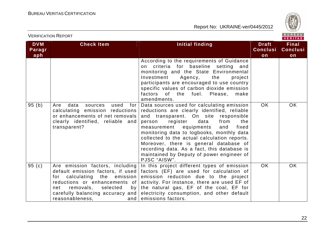

| <b>VERIFICATION REPORT</b>  |                                                                                                                                                                                                                                                           |                                                                                                                                                                                                                                                                                                                                                                                                                                                                                |                                       |                                       |  |
|-----------------------------|-----------------------------------------------------------------------------------------------------------------------------------------------------------------------------------------------------------------------------------------------------------|--------------------------------------------------------------------------------------------------------------------------------------------------------------------------------------------------------------------------------------------------------------------------------------------------------------------------------------------------------------------------------------------------------------------------------------------------------------------------------|---------------------------------------|---------------------------------------|--|
| <b>DVM</b><br>Paragr<br>aph | <b>Check Item</b>                                                                                                                                                                                                                                         | Initial finding                                                                                                                                                                                                                                                                                                                                                                                                                                                                | <b>Draft</b><br><b>Conclusi</b><br>on | <b>Final</b><br><b>Conclusi</b><br>on |  |
|                             |                                                                                                                                                                                                                                                           | According to the requirements of Guidance<br>criteria for baseline setting and<br>on<br>monitoring and the State Environmental<br>Agency,<br>Investment<br>the<br>project<br>participants are encouraged to use country<br>specific values of carbon dioxide emission<br>factors of the fuel.<br>Please,<br>make<br>amendments.                                                                                                                                                |                                       |                                       |  |
| 95(b)                       | data<br>Are<br>used<br>for<br>sources<br>calculating emission reductions<br>or enhancements of net removals<br>clearly identified, reliable and<br>transparent?                                                                                           | Data sources used for calculating emission<br>reductions are clearly identified, reliable<br>and transparent. On site responsible<br>register<br>data<br>from<br>person<br>the<br>equipments<br>measurement<br>and<br>fixed<br>monitoring data to logbooks, monthly data<br>collected to the actual calculation reports.<br>Moreover, there is general database of<br>recording data. As a fact, this database is<br>maintained by Deputy of power engineer of<br>PJSC "AISW". | <b>OK</b>                             | <b>OK</b>                             |  |
| 95 $(c)$                    | Are emission factors, including<br>default emission factors, if used<br>calculating the emission<br>for<br>reductions or enhancements of<br>removals,<br>net<br>selected<br>by <sub>1</sub><br>carefully balancing accuracy and<br>reasonableness,<br>and | In this project different types of emission<br>factors (EF) are used for calculation of<br>emission reduction due to the project<br>activity. For instance, there are used EF of<br>the natural gas, EF of the coal, EF for<br>electricity consumption, and other default<br>emissions factors.                                                                                                                                                                                | <b>OK</b>                             | <b>OK</b>                             |  |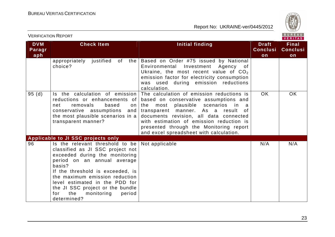

|                             | <b>VERIFICATION REPORT</b>                                                                                                                                                                                                                                                                                                                      | BUREAU<br>VERITAS                                                                                                                                                                                                                                                                                                                                               |                                                             |                                       |  |  |
|-----------------------------|-------------------------------------------------------------------------------------------------------------------------------------------------------------------------------------------------------------------------------------------------------------------------------------------------------------------------------------------------|-----------------------------------------------------------------------------------------------------------------------------------------------------------------------------------------------------------------------------------------------------------------------------------------------------------------------------------------------------------------|-------------------------------------------------------------|---------------------------------------|--|--|
| <b>DVM</b><br>Paragr<br>aph | <b>Check Item</b>                                                                                                                                                                                                                                                                                                                               | Initial finding                                                                                                                                                                                                                                                                                                                                                 | <b>Draft</b><br><b>Conclusi</b><br>$\overline{\mathsf{on}}$ | <b>Final</b><br><b>Conclusi</b><br>on |  |  |
|                             | justified<br>of<br>the<br>appropriately<br>choice?                                                                                                                                                                                                                                                                                              | Based on Order #75 issued by National<br>Environmental<br>Investment Agency of<br>Ukraine, the most recent value of $CO2$<br>emission factor for electricity consumption<br>was used during emission reductions<br>calculation.                                                                                                                                 |                                                             |                                       |  |  |
| 95(d)                       | Is the calculation of emission<br>reductions or enhancements of<br>removals<br>based<br>net<br>on<br>conservative assumptions<br>and<br>the most plausible scenarios in a<br>transparent manner?                                                                                                                                                | The calculation of emission reductions is<br>based on conservative assumptions and<br>plausible<br>the<br>most<br>scenarios<br>in<br>- a<br>transparent manner. As a result<br>. of<br>documents revision, all data connected<br>with estimation of emission reduction is<br>presented through the Monitoring report<br>and excel spreadsheet with calculation. | <b>OK</b>                                                   | <b>OK</b>                             |  |  |
|                             | Applicable to JI SSC projects only                                                                                                                                                                                                                                                                                                              |                                                                                                                                                                                                                                                                                                                                                                 |                                                             |                                       |  |  |
| 96                          | Is the relevant threshold to be<br>classified as JI SSC project not<br>exceeded during the monitoring<br>period on an annual average<br>basis?<br>If the threshold is exceeded, is<br>the maximum emission reduction<br>level estimated in the PDD for<br>the JI SSC project or the bundle<br>the<br>monitoring<br>period<br>for<br>determined? | Not applicable                                                                                                                                                                                                                                                                                                                                                  | N/A                                                         | N/A                                   |  |  |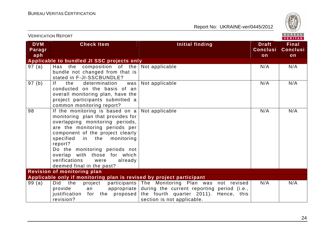

| <b>VERIFICATION REPORT</b>  |                                                                                                                                                                                                                                                                                                                                                                                    | BUREAU<br><b>VERITAS</b>                                                                                                                                                             |                                       |                                       |
|-----------------------------|------------------------------------------------------------------------------------------------------------------------------------------------------------------------------------------------------------------------------------------------------------------------------------------------------------------------------------------------------------------------------------|--------------------------------------------------------------------------------------------------------------------------------------------------------------------------------------|---------------------------------------|---------------------------------------|
| <b>DVM</b><br>Paragr<br>aph | <b>Check Item</b>                                                                                                                                                                                                                                                                                                                                                                  | <b>Initial finding</b>                                                                                                                                                               | <b>Draft</b><br><b>Conclusi</b><br>on | <b>Final</b><br><b>Conclusi</b><br>on |
|                             | Applicable to bundled JI SSC projects only                                                                                                                                                                                                                                                                                                                                         |                                                                                                                                                                                      |                                       |                                       |
| 97 (a)                      | Has the composition of the Not applicable<br>bundle not changed from that is<br>stated in F-JI-SSCBUNDLE?                                                                                                                                                                                                                                                                          |                                                                                                                                                                                      | N/A                                   | N/A                                   |
| 97(b)                       | <u>If</u><br>the<br>determination<br>was<br>conducted on the basis of an<br>overall monitoring plan, have the<br>project participants submitted a<br>common monitoring report?                                                                                                                                                                                                     | Not applicable                                                                                                                                                                       | N/A                                   | N/A                                   |
| 98                          | If the monitoring is based on $a \mid Not$ applicable<br>monitoring plan that provides for<br>overlapping monitoring periods,<br>are the monitoring periods per<br>component of the project clearly<br>specified<br>in the monitoring<br>report?<br>Do the monitoring periods not<br>overlap with those for which<br>verifications<br>already<br>were<br>deemed final in the past? |                                                                                                                                                                                      | N/A                                   | N/A                                   |
|                             | <b>Revision of monitoring plan</b>                                                                                                                                                                                                                                                                                                                                                 |                                                                                                                                                                                      |                                       |                                       |
| 99(a)                       | Applicable only if monitoring plan is revised by project participant<br>the<br><b>Did</b><br>project<br>provide<br>an<br>for the proposed<br>justification<br>revision?                                                                                                                                                                                                            | participants The Monitoring Plan was not revised<br>appropriate during the current reporting period (i.e.,<br>the fourth quarter 2011).<br>Hence, this<br>section is not applicable. | N/A                                   | N/A                                   |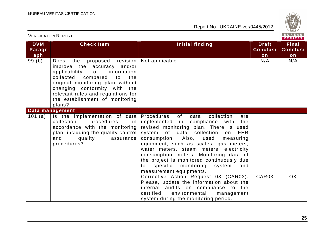

| BUREAU<br><b>VERIFICATION REPORT</b><br>VERITAS |                                                                                                                                                                                                                                                                                                                |                                                                                                                                                                                                                                                                                                                                                                                                                                                                                                                                                                                                                                                                                |                                       |                                       |  |
|-------------------------------------------------|----------------------------------------------------------------------------------------------------------------------------------------------------------------------------------------------------------------------------------------------------------------------------------------------------------------|--------------------------------------------------------------------------------------------------------------------------------------------------------------------------------------------------------------------------------------------------------------------------------------------------------------------------------------------------------------------------------------------------------------------------------------------------------------------------------------------------------------------------------------------------------------------------------------------------------------------------------------------------------------------------------|---------------------------------------|---------------------------------------|--|
| <b>DVM</b><br>Paragr<br>aph                     | <b>Check Item</b>                                                                                                                                                                                                                                                                                              | <b>Initial finding</b>                                                                                                                                                                                                                                                                                                                                                                                                                                                                                                                                                                                                                                                         | <b>Draft</b><br><b>Conclusi</b><br>on | <b>Final</b><br><b>Conclusi</b><br>on |  |
| 99 (b)                                          | proposed revision   Not applicable.<br>the<br>Does<br>improve the accuracy and/or<br>applicability<br>of<br>information<br>collected compared to<br>the<br>original monitoring plan without<br>changing conformity with the<br>relevant rules and regulations for<br>the establishment of monitoring<br>plans? |                                                                                                                                                                                                                                                                                                                                                                                                                                                                                                                                                                                                                                                                                | N/A                                   | N/A                                   |  |
|                                                 | Data management                                                                                                                                                                                                                                                                                                |                                                                                                                                                                                                                                                                                                                                                                                                                                                                                                                                                                                                                                                                                |                                       |                                       |  |
| 101 $(a)$                                       | Is the implementation of data Procedures of<br>collection<br>procedures<br>in I<br>accordance with the monitoring<br>plan, including the quality control<br>and<br>quality<br>assurance<br>procedures?                                                                                                         | data<br>collection<br>are<br>implemented in compliance with<br>the<br>revised monitoring plan. There is used<br>system of data collection<br>on<br><b>FER</b><br>consumption. Also, used<br>measuring<br>equipment, such as scales, gas meters,<br>water meters, steam meters, electricity<br>consumption meters. Monitoring data of<br>the project is monitored continuously due<br>specific<br>monitoring<br>system<br>and<br>to<br>measurement equipments.<br>Corrective Action Request 03 (CAR03).<br>Please, update the information about the<br>internal audits on compliance to the<br>certified<br>environmental<br>management<br>system during the monitoring period. | CAR03                                 | <b>OK</b>                             |  |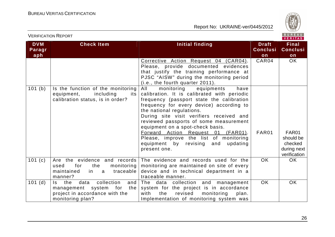

|                      | $ V $ ERIIAS                                                                                                                   |                                                                                                                                                                                                                                                                                                                                                                                                                                                                                    |                                 |                                                              |  |
|----------------------|--------------------------------------------------------------------------------------------------------------------------------|------------------------------------------------------------------------------------------------------------------------------------------------------------------------------------------------------------------------------------------------------------------------------------------------------------------------------------------------------------------------------------------------------------------------------------------------------------------------------------|---------------------------------|--------------------------------------------------------------|--|
| <b>DVM</b><br>Paragr | <b>Check Item</b>                                                                                                              | <b>Initial finding</b>                                                                                                                                                                                                                                                                                                                                                                                                                                                             | <b>Draft</b><br><b>Conclusi</b> | <b>Final</b><br><b>Conclusi</b>                              |  |
| aph                  |                                                                                                                                |                                                                                                                                                                                                                                                                                                                                                                                                                                                                                    | on                              | on                                                           |  |
|                      |                                                                                                                                | Corrective Action Request 04 (CAR04).<br>Please, provide documented evidences<br>that justify the training performance at<br>PJSC "AISW" during the monitoring period<br>(i.e., the fourth quarter 2011).                                                                                                                                                                                                                                                                          | CAR04                           | OK                                                           |  |
| 101 (b)              | Is the function of the monitoring<br>including<br>equipment,<br>its<br>calibration status, is in order?                        | All<br>monitoring<br>equipments<br>have<br>calibration. It is calibrated with periodic<br>frequency (passport state the calibration<br>frequency for every device) according to<br>the national regulations.<br>During site visit verifiers received and<br>reviewed passports of some measurement<br>equipment on a spot-check basis.<br>Forward Action Request 01 (FAR01).<br>Please, improve the list of monitoring<br>equipment by revising<br>and<br>updating<br>present one. | FAR01                           | FAR01<br>should be<br>checked<br>during next<br>verification |  |
| 101(c)               | Are the evidence and records<br>the<br>for<br>monitoring<br>used<br>traceable<br>maintained<br>in a<br>manner?                 | The evidence and records used for the<br>monitoring are maintained on site of every<br>device and in technical department in a<br>traceable manner.                                                                                                                                                                                                                                                                                                                                | OK.                             | OK                                                           |  |
| 101(d)               | collection<br>Is I<br>data<br>and<br>the<br>management system for<br>the<br>project in accordance with the<br>monitoring plan? | The data collection and management<br>system for the project is in accordance<br>with<br>revised<br>monitoring<br>the<br>plan.<br>Implementation of monitoring system was                                                                                                                                                                                                                                                                                                          | <b>OK</b>                       | <b>OK</b>                                                    |  |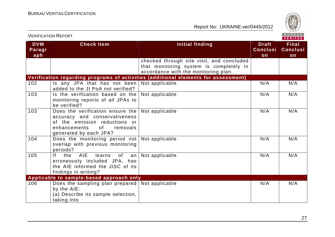

|                             | <b>VERIFICATION REPORT</b>                                                                                                                                                 |                                                                                                                              |                                       | BUREAU<br><b>VERITAS</b>              |
|-----------------------------|----------------------------------------------------------------------------------------------------------------------------------------------------------------------------|------------------------------------------------------------------------------------------------------------------------------|---------------------------------------|---------------------------------------|
| <b>DVM</b><br>Paragr<br>aph | <b>Check Item</b>                                                                                                                                                          | Initial finding                                                                                                              | <b>Draft</b><br><b>Conclusi</b><br>on | <b>Final</b><br><b>Conclusi</b><br>on |
|                             |                                                                                                                                                                            | checked through site visit, and concluded<br>that monitoring system is completely in<br>accordance with the monitoring plan. |                                       |                                       |
|                             |                                                                                                                                                                            | Verification regarding programs of activities (additional elements for assessment)                                           |                                       |                                       |
| 102                         | Is any JPA that has not been<br>added to the JI PoA not verified?                                                                                                          | Not applicable                                                                                                               | N/A                                   | N/A                                   |
| 103                         | Is the verification based on the<br>monitoring reports of all JPAs to<br>be verified?                                                                                      | Not applicable                                                                                                               | N/A                                   | N/A                                   |
| 103                         | Does the verification ensure the<br>accuracy and conservativeness<br>of the emission reductions or<br>of the control<br>enhancements<br>removals<br>generated by each JPA? | Not applicable                                                                                                               | N/A                                   | N/A                                   |
| 104                         | Does the monitoring period not<br>overlap with previous monitoring<br>periods?                                                                                             | Not applicable                                                                                                               | N/A                                   | N/A                                   |
| 105                         | If<br>AIE<br>the<br>of<br>learns<br>an<br>erroneously included JPA, has<br>the AIE informed the JISC of its<br>findings in writing?                                        | Not applicable                                                                                                               | N/A                                   | N/A                                   |
|                             | Applicable to sample-based approach only                                                                                                                                   |                                                                                                                              |                                       |                                       |
| 106                         | Does the sampling plan prepared  <br>by the AIE:<br>(a) Describe its sample selection,<br>taking into                                                                      | Not applicable                                                                                                               | N/A                                   | N/A                                   |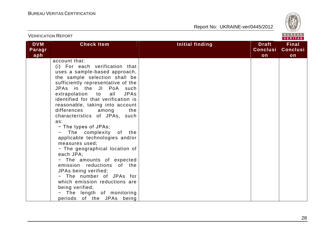

|                             | <b>VERIFICATION REPORT</b>                                                                                                                                                                                                                                                                                                                                                                                                                                                                                                                                                                                                                                                                                                                                    | BUREAU<br>VERITAS      |                                       |                                       |
|-----------------------------|---------------------------------------------------------------------------------------------------------------------------------------------------------------------------------------------------------------------------------------------------------------------------------------------------------------------------------------------------------------------------------------------------------------------------------------------------------------------------------------------------------------------------------------------------------------------------------------------------------------------------------------------------------------------------------------------------------------------------------------------------------------|------------------------|---------------------------------------|---------------------------------------|
| <b>DVM</b><br>Paragr<br>aph | <b>Check Item</b>                                                                                                                                                                                                                                                                                                                                                                                                                                                                                                                                                                                                                                                                                                                                             | <b>Initial finding</b> | <b>Draft</b><br><b>Conclusi</b><br>on | <b>Final</b><br><b>Conclusi</b><br>on |
|                             | account that:<br>(i) For each verification that<br>uses a sample-based approach,<br>the sample selection shall be<br>sufficiently representative of the<br>JPAs in the JI PoA such<br>extrapolation to<br>all<br><b>JPAs</b><br>identified for that verification is<br>reasonable, taking into account<br>differences<br>among<br>the<br>characteristics of JPAs, such<br>as:<br>- The types of JPAs;<br>The complexity of the<br>applicable technologies and/or<br>measures used;<br>- The geographical location of<br>each JPA;<br>- The amounts of expected<br>emission reductions of the<br>JPAs being verified;<br>- The number of JPAs for<br>which emission reductions are<br>being verified;<br>The length of monitoring<br>periods of the JPAs being |                        |                                       |                                       |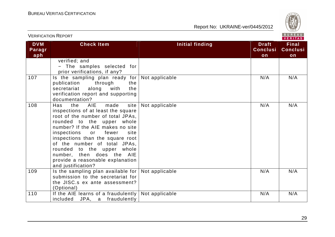

| BUREAU<br><b>VERIFICATION REPORT</b><br><b>VERITAS</b> |                                                                                                                                                                                                                                                                                                                                                                                                                      |                        |                                       |                                       |
|--------------------------------------------------------|----------------------------------------------------------------------------------------------------------------------------------------------------------------------------------------------------------------------------------------------------------------------------------------------------------------------------------------------------------------------------------------------------------------------|------------------------|---------------------------------------|---------------------------------------|
| <b>DVM</b><br>Paragr<br>aph                            | <b>Check Item</b>                                                                                                                                                                                                                                                                                                                                                                                                    | <b>Initial finding</b> | <b>Draft</b><br><b>Conclusi</b><br>on | <b>Final</b><br><b>Conclusi</b><br>on |
|                                                        | verified; and<br>- The samples selected for<br>prior verifications, if any?                                                                                                                                                                                                                                                                                                                                          |                        |                                       |                                       |
| 107                                                    | Is the sampling plan ready for<br>through<br>publication<br>the<br>secretariat along with<br>the<br>verification report and supporting<br>documentation?                                                                                                                                                                                                                                                             | Not applicable         | N/A                                   | N/A                                   |
| 108                                                    | made<br>site<br>the<br><b>AIE</b><br>Has<br>inspections of at least the square<br>root of the number of total JPAs,<br>rounded to the upper whole<br>number? If the AIE makes no site<br>inspections<br>fewer<br>site<br>or<br>inspections than the square root<br>of the number of total JPAs,<br>rounded to the upper whole<br>number, then does the AIE<br>provide a reasonable explanation<br>and justification? | Not applicable         | N/A                                   | N/A                                   |
| 109                                                    | Is the sampling plan available for $ $<br>submission to the secretariat for<br>the JISC.s ex ante assessment?<br>(Optional)                                                                                                                                                                                                                                                                                          | Not applicable         | N/A                                   | N/A                                   |
| 110                                                    | If the AIE learns of a fraudulently<br>included JPA, a fraudulently                                                                                                                                                                                                                                                                                                                                                  | Not applicable         | N/A                                   | N/A                                   |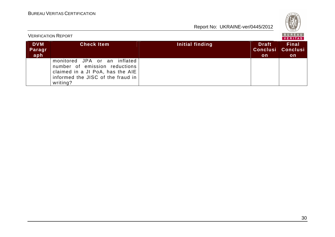| ι.<br>U.<br>v<br>7828 |
|-----------------------|
| Е<br>۹b<br>s.<br>IS.  |

| <b>VERIFICATION REPORT</b>  |                                                                                                                                                    |                 |                     | <b>BUREAU</b><br><b>VERITAS</b>                |
|-----------------------------|----------------------------------------------------------------------------------------------------------------------------------------------------|-----------------|---------------------|------------------------------------------------|
| <b>DVM</b><br>Paragr<br>aph | <b>Check Item</b>                                                                                                                                  | Initial finding | <b>Draft</b><br>on. | <b>Final</b><br>Conclusi Conclusi<br><b>on</b> |
|                             | monitored JPA or an inflated<br>number of emission reductions<br>claimed in a JI PoA, has the AIE<br>informed the JISC of the fraud in<br>writing? |                 |                     |                                                |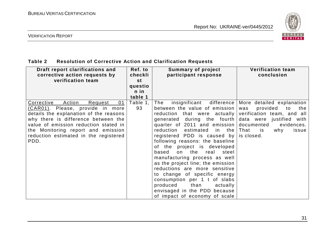

#### VERIFICATION REPORT

### **Table 2 Resolution of Corrective Action and Clarification Requests**

| Draft report clarifications and<br>corrective action requests by<br>verification team                                                                                                                                                                                                              | Ref. to<br>checkli<br>st<br>questio<br>n in<br>table 1 | <b>Summary of project</b><br>participant response                                                                                                                                                                                                                                                                                                                                                                                                                                                                                                                                                                                        | <b>Verification team</b><br>conclusion                                                                                                                        |
|----------------------------------------------------------------------------------------------------------------------------------------------------------------------------------------------------------------------------------------------------------------------------------------------------|--------------------------------------------------------|------------------------------------------------------------------------------------------------------------------------------------------------------------------------------------------------------------------------------------------------------------------------------------------------------------------------------------------------------------------------------------------------------------------------------------------------------------------------------------------------------------------------------------------------------------------------------------------------------------------------------------------|---------------------------------------------------------------------------------------------------------------------------------------------------------------|
| Action<br>01<br>Corrective<br>Request<br><u>(CAR01)</u> . Please, provide in more<br>details the explanation of the reasons<br>why there is difference between the<br>value of emission reduction stated in<br>the Monitoring report and emission<br>reduction estimated in the registered<br>PDD. | Table 1,<br>93                                         | insignificant difference<br>The<br>between the value of emission<br>reduction that were actually verification team, and all<br>generated during the fourth<br>quarter of 2011 and emission<br>reduction<br>estimated<br>in the<br>registered PDD is caused by<br>following reasons: the baseline<br>of the project is developed<br>on the real<br>based<br>steel<br>manufacturing process as well<br>as the project line; the emission<br>reductions are more sensitive<br>to change of specific energy<br>consumption per 1 t of slabs<br>produced<br>than<br>actually<br>envisaged in the PDD because<br>of impact of economy of scale | More detailed explanation<br>provided<br>the<br>was<br>to<br>data were justified with<br>documented<br>evidences.<br>That<br>why<br>issue<br>is<br>is closed. |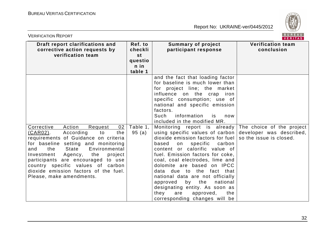

| <b>VERIFICATION REPORT</b>                                                                                                                                                                                                                                                                                                                                                                        |                                                        |                                                                                                                                                                                                                                                                                                                                                                                                                                                                                                                                                                                                                                                                                                                                                                                                                                    | BUREAU<br>VERITAS                      |
|---------------------------------------------------------------------------------------------------------------------------------------------------------------------------------------------------------------------------------------------------------------------------------------------------------------------------------------------------------------------------------------------------|--------------------------------------------------------|------------------------------------------------------------------------------------------------------------------------------------------------------------------------------------------------------------------------------------------------------------------------------------------------------------------------------------------------------------------------------------------------------------------------------------------------------------------------------------------------------------------------------------------------------------------------------------------------------------------------------------------------------------------------------------------------------------------------------------------------------------------------------------------------------------------------------------|----------------------------------------|
| Draft report clarifications and<br>corrective action requests by<br>verification team                                                                                                                                                                                                                                                                                                             | Ref. to<br>checkli<br>st<br>questio<br>n in<br>table 1 | <b>Summary of project</b><br>participant response                                                                                                                                                                                                                                                                                                                                                                                                                                                                                                                                                                                                                                                                                                                                                                                  | <b>Verification team</b><br>conclusion |
| <b>Action</b><br>Corrective<br>Request<br>02<br>(CAR02).<br>According<br>the<br>to<br>requirements of Guidance on criteria<br>for baseline setting and monitoring<br>the<br>State<br>Environmental<br>and<br>Investment Agency,<br>the<br>project<br>participants are encouraged to use<br>country specific values of carbon<br>dioxide emission factors of the fuel.<br>Please, make amendments. | Table 1,<br>95(a)                                      | and the fact that loading factor<br>for baseline is much lower than<br>for project line; the market<br>influence on the crap iron<br>specific consumption; use of<br>national and specific emission<br>factors.<br>information<br>Such<br>is<br>now<br>included in the modified MR.<br>Monitoring report is already The choice of the project<br>using specific values of carbon developer was described,<br>dioxide emission factors for fuel<br>based<br>specific<br>carbon<br>on<br>content or calorific value of<br>fuel. Emission factors for coke,<br>coal, coal electrodes, lime and<br>dolomite are based on IPCC<br>data due to the fact that<br>national data are not officially<br>approved<br>national<br>by the<br>designating entity. As soon as<br>they<br>approved,<br>are<br>the<br>corresponding changes will be | so the issue is closed.                |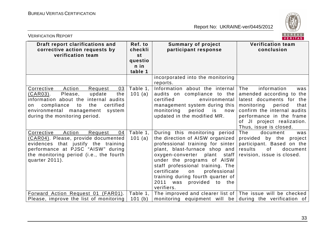

| BUREAU<br><b>VERIFICATION REPORT</b><br><b>VERITAS</b>                                                                                                                                                                                         |                                                          |                                                                                                                                                                                                                                                                                                                                                                |                                                                                                                                                                                                            |  |
|------------------------------------------------------------------------------------------------------------------------------------------------------------------------------------------------------------------------------------------------|----------------------------------------------------------|----------------------------------------------------------------------------------------------------------------------------------------------------------------------------------------------------------------------------------------------------------------------------------------------------------------------------------------------------------------|------------------------------------------------------------------------------------------------------------------------------------------------------------------------------------------------------------|--|
| Draft report clarifications and<br>corrective action requests by<br>verification team                                                                                                                                                          | Ref. to<br>checkli<br>st<br>questio<br>$n$ in<br>table 1 | <b>Summary of project</b><br>participant response                                                                                                                                                                                                                                                                                                              | <b>Verification team</b><br>conclusion                                                                                                                                                                     |  |
| Corrective<br>Action<br>03<br>Request<br>update<br>$(CAR03)$ .<br>Please,<br>the<br>information about the internal audits<br>compliance<br>certified<br>to<br>the<br>on<br>environmental management<br>system<br>during the monitoring period. | Table 1,<br>101 (a)                                      | incorporated into the monitoring<br>reports.<br>Information about the internal<br>audits on compliance to the<br>certified<br>environmental<br>management system during this<br>monitoring<br>period<br>is<br>now<br>updated in the modified MR.                                                                                                               | The<br>information<br>was<br>amended according to the<br>latest documents for the<br>monitoring<br>period<br>that<br>confirm the internal audits<br>performance in the frame<br>of JI project realization. |  |
| Corrective<br>Action<br>Request<br>04<br>(CAR04). Please, provide documented<br>evidences that justify the training<br>performance at PJSC "AISW" during<br>the monitoring period (i.e., the fourth<br>quarter 2011).                          | Table 1,<br>101 (a)                                      | During this monitoring period<br>the direction of AISW organized<br>professional training for sinter<br>plant, blast-furnace shop and<br>oxygen-converter plant staff<br>under the programs of AISW<br>staff professional training. The<br>professional<br>certificate<br>on<br>training during fourth quarter of<br>2011 was<br>provided to the<br>verifiers. | Thus, issue is closed.<br>The<br>document<br>was<br>provided by the project<br>participant. Based on the<br>results<br>0f<br>document<br>revision, issue is closed.                                        |  |
| Forward Action Request 01 (FAR01).<br>Please, improve the list of monitoring                                                                                                                                                                   | Table 1,<br>101(b)                                       | The improved and clearer list of   The issue will be checked  <br>monitoring equipment will be during the verification of                                                                                                                                                                                                                                      |                                                                                                                                                                                                            |  |